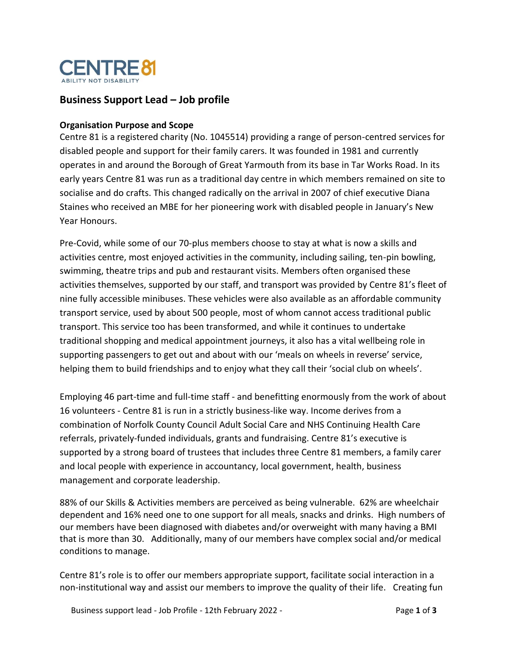

# **Business Support Lead – Job profile**

#### **Organisation Purpose and Scope**

Centre 81 is a registered charity (No. 1045514) providing a range of person-centred services for disabled people and support for their family carers. It was founded in 1981 and currently operates in and around the Borough of Great Yarmouth from its base in Tar Works Road. In its early years Centre 81 was run as a traditional day centre in which members remained on site to socialise and do crafts. This changed radically on the arrival in 2007 of chief executive Diana Staines who received an MBE for her pioneering work with disabled people in January's New Year Honours.

Pre-Covid, while some of our 70-plus members choose to stay at what is now a skills and activities centre, most enjoyed activities in the community, including sailing, ten-pin bowling, swimming, theatre trips and pub and restaurant visits. Members often organised these activities themselves, supported by our staff, and transport was provided by Centre 81's fleet of nine fully accessible minibuses. These vehicles were also available as an affordable community transport service, used by about 500 people, most of whom cannot access traditional public transport. This service too has been transformed, and while it continues to undertake traditional shopping and medical appointment journeys, it also has a vital wellbeing role in supporting passengers to get out and about with our 'meals on wheels in reverse' service, helping them to build friendships and to enjoy what they call their 'social club on wheels'.

Employing 46 part-time and full-time staff - and benefitting enormously from the work of about 16 volunteers - Centre 81 is run in a strictly business-like way. Income derives from a combination of Norfolk County Council Adult Social Care and NHS Continuing Health Care referrals, privately-funded individuals, grants and fundraising. Centre 81's executive is supported by a strong board of trustees that includes three Centre 81 members, a family carer and local people with experience in accountancy, local government, health, business management and corporate leadership.

88% of our Skills & Activities members are perceived as being vulnerable. 62% are wheelchair dependent and 16% need one to one support for all meals, snacks and drinks. High numbers of our members have been diagnosed with diabetes and/or overweight with many having a BMI that is more than 30. Additionally, many of our members have complex social and/or medical conditions to manage.

Centre 81's role is to offer our members appropriate support, facilitate social interaction in a non-institutional way and assist our members to improve the quality of their life. Creating fun

Business support lead - Job Profile - 12th February 2022 - Page **1** of **3**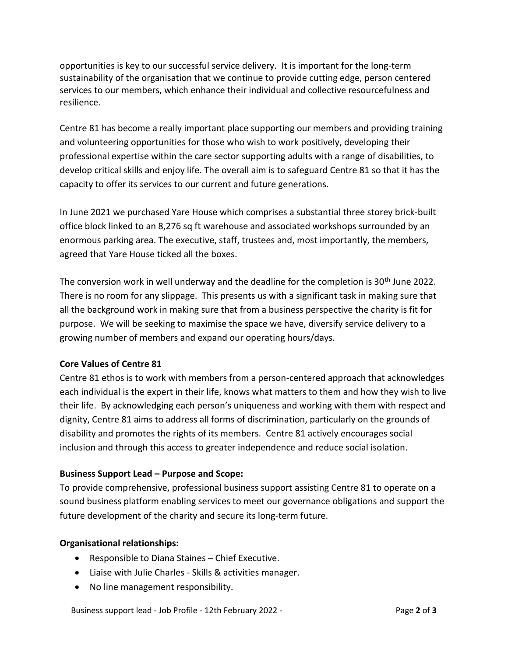opportunities is key to our successful service delivery. It is important for the long-term sustainability of the organisation that we continue to provide cutting edge, person centered services to our members, which enhance their individual and collective resourcefulness and resilience.

Centre 81 has become a really important place supporting our members and providing training and volunteering opportunities for those who wish to work positively, developing their professional expertise within the care sector supporting adults with a range of disabilities, to develop critical skills and enjoy life. The overall aim is to safeguard Centre 81 so that it has the capacity to offer its services to our current and future generations.

In June 2021 we purchased Yare House which comprises a substantial three storey brick-built office block linked to an 8,276 sq ft warehouse and associated workshops surrounded by an enormous parking area. The executive, staff, trustees and, most importantly, the members, agreed that Yare House ticked all the boxes.

The conversion work in well underway and the deadline for the completion is  $30<sup>th</sup>$  June 2022. There is no room for any slippage. This presents us with a significant task in making sure that all the background work in making sure that from a business perspective the charity is fit for purpose. We will be seeking to maximise the space we have, diversify service delivery to a growing number of members and expand our operating hours/days.

# **Core Values of Centre 81**

Centre 81 ethos is to work with members from a person-centered approach that acknowledges each individual is the expert in their life, knows what matters to them and how they wish to live their life. By acknowledging each person's uniqueness and working with them with respect and dignity, Centre 81 aims to address all forms of discrimination, particularly on the grounds of disability and promotes the rights of its members. Centre 81 actively encourages social inclusion and through this access to greater independence and reduce social isolation.

### **Business Support Lead – Purpose and Scope:**

To provide comprehensive, professional business support assisting Centre 81 to operate on a sound business platform enabling services to meet our governance obligations and support the future development of the charity and secure its long-term future.

### **Organisational relationships:**

- Responsible to Diana Staines Chief Executive.
- Liaise with Julie Charles Skills & activities manager.
- No line management responsibility.

Business support lead - Job Profile - 12th February 2022 - Page **2** of **3**